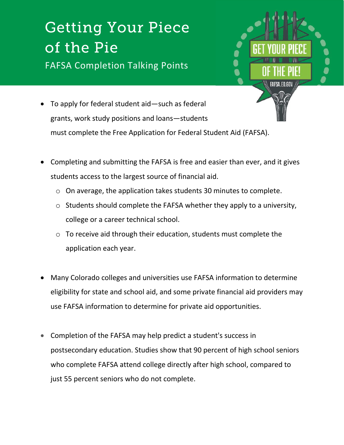## **Getting Your Piece Of the Pie** FAFSA Completion Talking Points



- To apply for federal student aid-such as federal grants, work study positions and loans—students must complete the Free Application for Federal Student Aid (FAFSA).
- Completing and submitting the FAFSA is free and easier than ever, and it gives students access to the largest source of financial aid.
	- o On average, the application takes students 30 minutes to complete.
	- o Students should complete the FAFSA whether they apply to a university, college or a career technical school.
	- o To receive aid through their education, students must complete the application each year.
- Many Colorado colleges and universities use FAFSA information to determine eligibility for state and school aid, and some private financial aid providers may use FAFSA information to determine for private aid opportunities.
- Completion of the FAFSA may help predict a student's success in postsecondary education. Studies show that 90 percent of high school seniors who complete FAFSA attend college directly after high school, compared to just 55 percent seniors who do not complete.